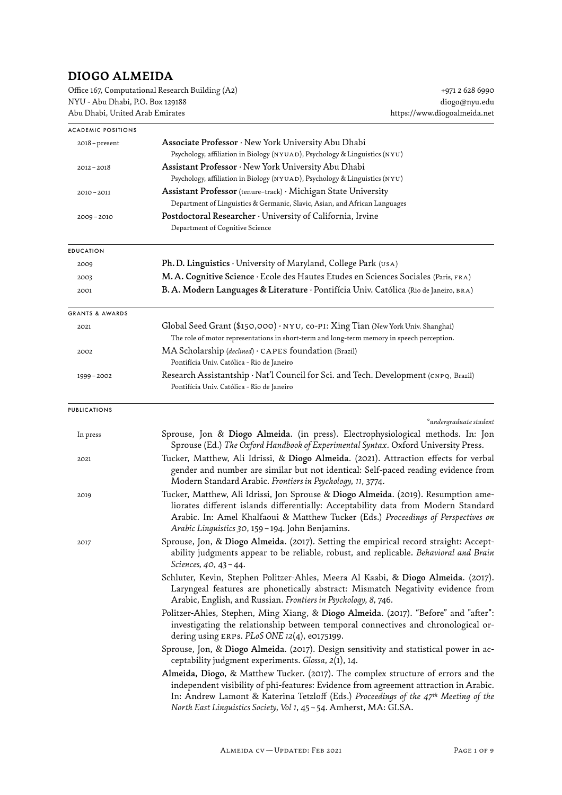## **DIOGO ALMEIDA**

| Office 167, Computational Research Building (A2) |  |
|--------------------------------------------------|--|
| NYU - Abu Dhabi, P.O. Box 129188                 |  |
| Abu Dhabi, United Arab Emirates                  |  |

| <b>ACADEMIC POSITIONS</b>  |                                                                                                                                                                                                                                                                                                                                                     |
|----------------------------|-----------------------------------------------------------------------------------------------------------------------------------------------------------------------------------------------------------------------------------------------------------------------------------------------------------------------------------------------------|
| 2018 - present             | Associate Professor · New York University Abu Dhabi                                                                                                                                                                                                                                                                                                 |
|                            | Psychology, affiliation in Biology (NYUAD), Psychology & Linguistics (NYU)                                                                                                                                                                                                                                                                          |
| $2012 - 2018$              | Assistant Professor · New York University Abu Dhabi                                                                                                                                                                                                                                                                                                 |
|                            | Psychology, affiliation in Biology (NYUAD), Psychology & Linguistics (NYU)                                                                                                                                                                                                                                                                          |
| 2010-2011                  | Assistant Professor (tenure-track) · Michigan State University                                                                                                                                                                                                                                                                                      |
|                            | Department of Linguistics & Germanic, Slavic, Asian, and African Languages<br>Postdoctoral Researcher $\cdot$ University of California, Irvine                                                                                                                                                                                                      |
| $2009 - 2010$              | Department of Cognitive Science                                                                                                                                                                                                                                                                                                                     |
| <b>EDUCATION</b>           |                                                                                                                                                                                                                                                                                                                                                     |
| 2009                       | Ph. D. Linguistics · University of Maryland, College Park (USA)                                                                                                                                                                                                                                                                                     |
| 2003                       | M. A. Cognitive Science · Ecole des Hautes Etudes en Sciences Sociales (Paris, FRA)                                                                                                                                                                                                                                                                 |
| 2001                       | B. A. Modern Languages & Literature · Pontifícia Univ. Católica (Rio de Janeiro, BRA)                                                                                                                                                                                                                                                               |
| <b>GRANTS &amp; AWARDS</b> |                                                                                                                                                                                                                                                                                                                                                     |
| 2021                       | Global Seed Grant (\$150,000) · NYU, co-PI: Xing Tian (New York Univ. Shanghai)<br>The role of motor representations in short-term and long-term memory in speech perception.                                                                                                                                                                       |
| 2002                       | MA Scholarship (declined) · CAPES foundation (Brazil)<br>Pontifícia Univ. Católica - Rio de Janeiro                                                                                                                                                                                                                                                 |
| 1999 - 2002                | Research Assistantship · Nat'l Council for Sci. and Tech. Development (CNPQ, Brazil)<br>Pontifícia Univ. Católica - Rio de Janeiro                                                                                                                                                                                                                  |
| <b>PUBLICATIONS</b>        | $^{\circ}$ undergraduate student                                                                                                                                                                                                                                                                                                                    |
| In press                   | Sprouse, Jon & Diogo Almeida. (in press). Electrophysiological methods. In: Jon<br>Sprouse (Ed.) The Oxford Handbook of Experimental Syntax. Oxford University Press.                                                                                                                                                                               |
| 2021                       | Tucker, Matthew, Ali Idrissi, & Diogo Almeida. (2021). Attraction effects for verbal<br>gender and number are similar but not identical: Self-paced reading evidence from<br>Modern Standard Arabic. Frontiers in Psychology, 11, 3774.                                                                                                             |
| 2019                       | Tucker, Matthew, Ali Idrissi, Jon Sprouse & Diogo Almeida. (2019). Resumption ame-<br>liorates different islands differentially: Acceptability data from Modern Standard<br>Arabic. In: Amel Khalfaoui & Matthew Tucker (Eds.) Proceedings of Perspectives on<br>Arabic Linguistics 30, 159 - 194. John Benjamins.                                  |
| 2017                       | Sprouse, Jon, & Diogo Almeida. (2017). Setting the empirical record straight: Accept-<br>ability judgments appear to be reliable, robust, and replicable. Behavioral and Brain<br>Sciences, 40, 43-44.                                                                                                                                              |
|                            | Schluter, Kevin, Stephen Politzer-Ahles, Meera Al Kaabi, & Diogo Almeida. (2017).<br>Laryngeal features are phonetically abstract: Mismatch Negativity evidence from<br>Arabic, English, and Russian. Frontiers in Psychology, 8, 746.                                                                                                              |
|                            | Politzer-Ahles, Stephen, Ming Xiang, & Diogo Almeida. (2017). "Before" and "after":<br>investigating the relationship between temporal connectives and chronological or-<br>dering using ERPs. $PLoS$ ONE 12(4), e0175199.                                                                                                                          |
|                            | Sprouse, Jon, & Diogo Almeida. (2017). Design sensitivity and statistical power in ac-<br>ceptability judgment experiments. Glossa, 2(1), 14.                                                                                                                                                                                                       |
|                            | Almeida, Diogo, & Matthew Tucker. (2017). The complex structure of errors and the<br>independent visibility of phi-features: Evidence from agreement attraction in Arabic.<br>In: Andrew Lamont & Katerina Tetzloff (Eds.) Proceedings of the 47 <sup>th</sup> Meeting of the<br>North East Linguistics Society, Vol 1, 45 - 54. Amherst, MA: GLSA. |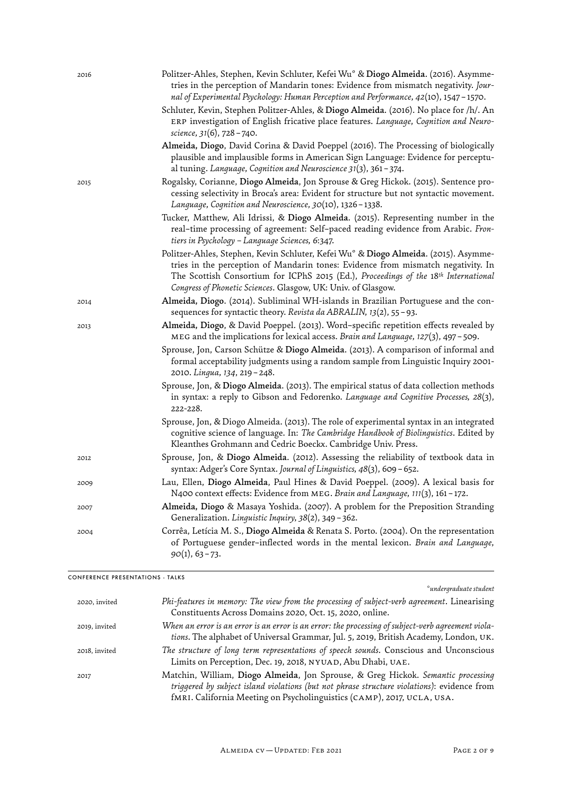| 2016 | Politzer-Ahles, Stephen, Kevin Schluter, Kefei Wu° & Diogo Almeida. (2016). Asymme-<br>tries in the perception of Mandarin tones: Evidence from mismatch negativity. Jour-<br>nal of Experimental Psychology: Human Perception and Performance, 42(10), 1547 – 1570.                                                                        |
|------|---------------------------------------------------------------------------------------------------------------------------------------------------------------------------------------------------------------------------------------------------------------------------------------------------------------------------------------------|
|      | Schluter, Kevin, Stephen Politzer-Ahles, & Diogo Almeida. (2016). No place for /h/. An<br>ERP investigation of English fricative place features. Language, Cognition and Neuro-<br>science, 31(6), 728 - 740.                                                                                                                               |
|      | Almeida, Diogo, David Corina & David Poeppel (2016). The Processing of biologically<br>plausible and implausible forms in American Sign Language: Evidence for perceptu-<br>al tuning. Language, Cognition and Neuroscience 31(3), 361 – 374.                                                                                               |
| 2015 | Rogalsky, Corianne, Diogo Almeida, Jon Sprouse & Greg Hickok. (2015). Sentence pro-<br>cessing selectivity in Broca's area: Evident for structure but not syntactic movement.<br>Language, Cognition and Neuroscience, 30(10), 1326 - 1338.                                                                                                 |
|      | Tucker, Matthew, Ali Idrissi, & Diogo Almeida. (2015). Representing number in the<br>real-time processing of agreement: Self-paced reading evidence from Arabic. Fron-<br>tiers in Psychology – Language Sciences, 6:347.                                                                                                                   |
|      | Politzer-Ahles, Stephen, Kevin Schluter, Kefei Wu° & Diogo Almeida. (2015). Asymme-<br>tries in the perception of Mandarin tones: Evidence from mismatch negativity. In<br>The Scottish Consortium for ICPhS 2015 (Ed.), Proceedings of the 18 <sup>th</sup> International<br>Congress of Phonetic Sciences. Glasgow, UK: Univ. of Glasgow. |
| 2014 | Almeida, Diogo. (2014). Subliminal WH-islands in Brazilian Portuguese and the con-<br>sequences for syntactic theory. Revista da ABRALIN, 13(2), 55-93.                                                                                                                                                                                     |
| 2013 | Almeida, Diogo, & David Poeppel. (2013). Word-specific repetition effects revealed by<br>MEG and the implications for lexical access. Brain and Language, $127(3)$ , 497 - 509.                                                                                                                                                             |
|      | Sprouse, Jon, Carson Schütze & Diogo Almeida. (2013). A comparison of informal and<br>formal acceptability judgments using a random sample from Linguistic Inquiry 2001-<br>2010. Lingua, 134, 219 - 248.                                                                                                                                   |
|      | Sprouse, Jon, & Diogo Almeida. (2013). The empirical status of data collection methods<br>in syntax: a reply to Gibson and Fedorenko. Language and Cognitive Processes, 28(3),<br>222-228.                                                                                                                                                  |
|      | Sprouse, Jon, & Diogo Almeida. (2013). The role of experimental syntax in an integrated<br>cognitive science of language. In: The Cambridge Handbook of Biolinguistics. Edited by<br>Kleanthes Grohmann and Cedric Boeckx. Cambridge Univ. Press.                                                                                           |
| 2012 | Sprouse, Jon, & Diogo Almeida. (2012). Assessing the reliability of textbook data in<br>syntax: Adger's Core Syntax. Journal of Linguistics, 48(3), 609 - 652.                                                                                                                                                                              |
| 2009 | Lau, Ellen, Diogo Almeida, Paul Hines & David Poeppel. (2009). A lexical basis for<br>N400 context effects: Evidence from MEG. Brain and Language, 111(3), 161-172.                                                                                                                                                                         |
| 2007 | Almeida, Diogo & Masaya Yoshida. (2007). A problem for the Preposition Stranding<br>Generalization. Linguistic Inquiry, 38(2), 349-362.                                                                                                                                                                                                     |
| 2004 | Corrêa, Letícia M. S., Diogo Almeida & Renata S. Porto. (2004). On the representation<br>of Portuguese gender-inflected words in the mental lexicon. Brain and Language,<br>$90(1), 63 - 73.$                                                                                                                                               |
|      |                                                                                                                                                                                                                                                                                                                                             |

CONFERENCE PRESENTATIONS - TALKS

*° undergraduate student* 

| 2020, invited | Phi-features in memory: The view from the processing of subject-verb agreement. Linearising<br>Constituents Across Domains 2020, Oct. 15, 2020, online.                                                                                                   |
|---------------|-----------------------------------------------------------------------------------------------------------------------------------------------------------------------------------------------------------------------------------------------------------|
| 2019, invited | When an error is an error is an error is an error: the processing of subject-verb agreement viola-<br>tions. The alphabet of Universal Grammar, Jul. 5, 2019, British Academy, London, UK.                                                                |
| 2018, invited | The structure of long term representations of speech sounds. Conscious and Unconscious<br>Limits on Perception, Dec. 19, 2018, NYUAD, Abu Dhabi, UAE.                                                                                                     |
| 2017          | Matchin, William, Diogo Almeida, Jon Sprouse, & Greg Hickok. Semantic processing<br>triggered by subject island violations (but not phrase structure violations): evidence from<br>fMRI. California Meeting on Psycholinguistics (CAMP), 2017, UCLA, USA. |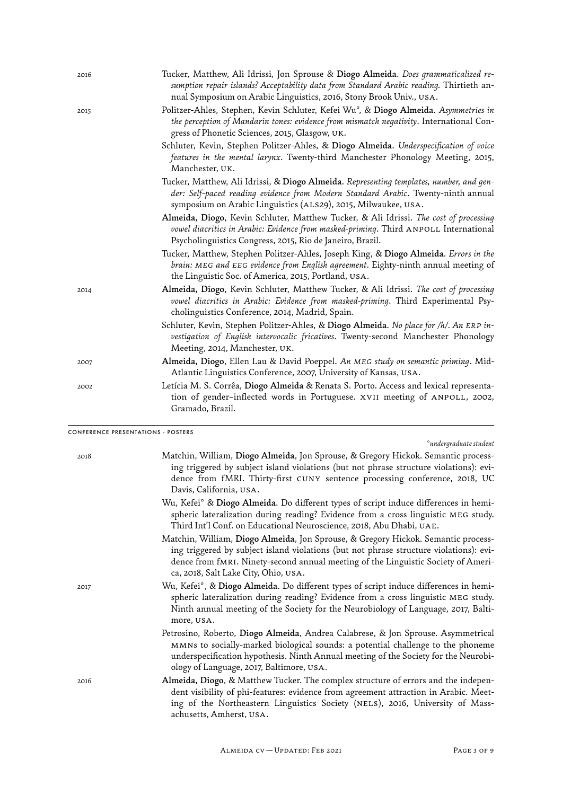| 2016 | Tucker, Matthew, Ali Idrissi, Jon Sprouse & Diogo Almeida. Does grammaticalized re-<br>sumption repair islands? Acceptability data from Standard Arabic reading. Thirtieth an-<br>nual Symposium on Arabic Linguistics, 2016, Stony Brook Univ., USA. |
|------|-------------------------------------------------------------------------------------------------------------------------------------------------------------------------------------------------------------------------------------------------------|
| 2015 | Politzer-Ahles, Stephen, Kevin Schluter, Kefei Wu°, & Diogo Almeida. Asymmetries in<br>the perception of Mandarin tones: evidence from mismatch negativity. International Con-<br>gress of Phonetic Sciences, 2015, Glasgow, UK.                      |
|      | Schluter, Kevin, Stephen Politzer-Ahles, & Diogo Almeida. Underspecification of voice<br>features in the mental larynx. Twenty-third Manchester Phonology Meeting, 2015,<br>Manchester, UK.                                                           |
|      | Tucker, Matthew, Ali Idrissi, & Diogo Almeida. Representing templates, number, and gen-<br>der: Self-paced reading evidence from Modern Standard Arabic. Twenty-ninth annual<br>symposium on Arabic Linguistics (ALS29), 2015, Milwaukee, USA.        |
|      | Almeida, Diogo, Kevin Schluter, Matthew Tucker, & Ali Idrissi. The cost of processing<br>vowel diacritics in Arabic: Evidence from masked-priming. Third ANPOLL International<br>Psycholinguistics Congress, 2015, Rio de Janeiro, Brazil.            |
|      | Tucker, Matthew, Stephen Politzer-Ahles, Joseph King, & Diogo Almeida. Errors in the<br>brain: MEG and EEG evidence from English agreement. Eighty-ninth annual meeting of<br>the Linguistic Soc. of America, 2015, Portland, USA.                    |
| 2014 | Almeida, Diogo, Kevin Schluter, Matthew Tucker, & Ali Idrissi. The cost of processing<br>vowel diacritics in Arabic: Evidence from masked-priming. Third Experimental Psy-<br>cholinguistics Conference, 2014, Madrid, Spain.                         |
|      | Schluter, Kevin, Stephen Politzer-Ahles, & Diogo Almeida. No place for /h/. An ERP in-<br>vestigation of English intervocalic fricatives. Twenty-second Manchester Phonology<br>Meeting, 2014, Manchester, UK.                                        |
| 2007 | Almeida, Diogo, Ellen Lau & David Poeppel. An MEG study on semantic priming. Mid-<br>Atlantic Linguistics Conference, 2007, University of Kansas, USA.                                                                                                |
| 2002 | Letícia M. S. Corrêa, Diogo Almeida & Renata S. Porto. Access and lexical representa-<br>tion of gender-inflected words in Portuguese. XVII meeting of ANPOLL, 2002,<br>Gramado, Brazil.                                                              |

CONFERENCE PRESENTATIONS - POSTERS

*° undergraduate student* 

| 2018 | Matchin, William, Diogo Almeida, Jon Sprouse, & Gregory Hickok. Semantic process-      |
|------|----------------------------------------------------------------------------------------|
|      | ing triggered by subject island violations (but not phrase structure violations): evi- |
|      | dence from fMRI. Thirty-first CUNY sentence processing conference, 2018, UC            |
|      | Davis, California, USA.                                                                |
|      |                                                                                        |

| Wu, Kefei° & Diogo Almeida. Do different types of script induce differences in hemi- |
|--------------------------------------------------------------------------------------|
| spheric lateralization during reading? Evidence from a cross linguistic MEG study.   |
| Third Int'l Conf. on Educational Neuroscience. 2018. Abu Dhabi. UAE.                 |

- Matchin, William, Diogo Almeida, Jon Sprouse, & Gregory Hickok. Semantic processing triggered by subject island violations (but not phrase structure violations): evidence from fMRI. Ninety-second annual meeting of the Linguistic Society of America, 2018, Salt Lake City, Ohio, USA.
- 2017 Wu, Kefei*°* , & Diogo Almeida. Do diferent tpes of script induce diferences in hemispheric lateralization during reading? Evidence from a cross linguistic meg study. Ninth annual meeting of the Society for the Neurobiology of Language, 2017, Baltimore, usa.
	- Petrosino, Roberto, Diogo Almeida, Andrea Calabrese, & Jon Sprouse. Asymmetrical mmns to socially-marked biological sounds: a potential challenge to the phoneme underspecification hypothesis. Ninth Annual meeting of the Society for the Neurobiology of Language, 2017, Baltimore, usa.
- 2016 Almeida, Diogo, & Matthew Tucker. The complex structure of errors and the independent visibility of phi-features: evidence from agreement attraction in Arabic. Meeting of the Northeastern Linguistics Society (NELS), 2016, University of Massachusetts, Amherst, usa.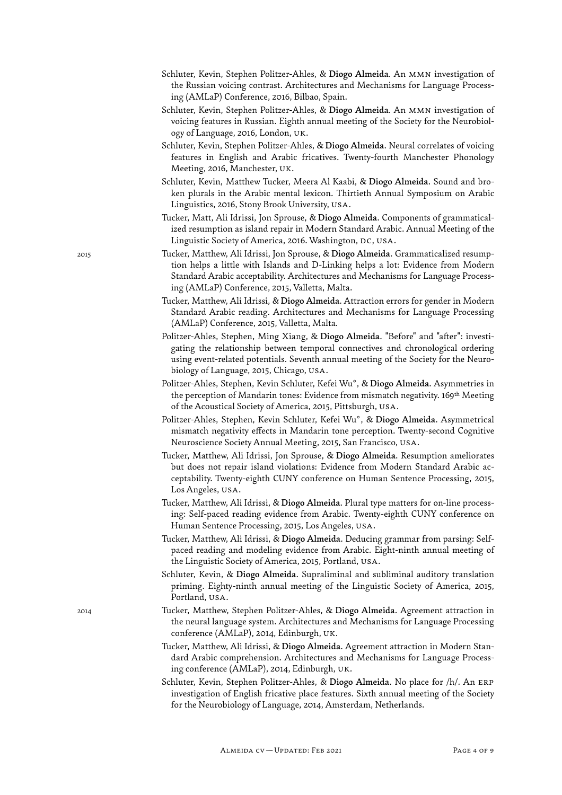- Schluter, Kevin, Stephen Politzer-Ahles, & Diogo Almeida. An MMN investigation of the Russian voicing contrast. Architectures and Mechanisms for Language Processing (AMLaP) Conference, 2016, Bilbao, Spain.
- Schluter, Kevin, Stephen Politzer-Ahles, & Diogo Almeida. An MMN investigation of voicing features in Russian. Eighth annual meeting of the Society for the Neurobiology of Language, 2016, London, uk.
- Schluter, Kevin, Stephen Politzer-Ahles, & Diogo Almeida. Neural correlates of voicing features in English and Arabic fricatives. Twenty-fourth Manchester Phonology Meeting, 2016, Manchester, uk.
- Schluter, Kevin, Matthew Tucker, Meera Al Kaabi, & Diogo Almeida. Sound and broken plurals in the Arabic mental lexicon. Thirtieth Annual Symposium on Arabic Linguistics, 2016, Stony Brook University, USA.
- Tucker, Matt, Ali Idrissi, Jon Sprouse, & Diogo Almeida. Components of grammaticalized resumption as island repair in Modern Standard Arabic. Annual Meeting of the Linguistic Society of America, 2016. Washington, DC, USA.
- 2015 Tucker, Matthew, Ali Idrissi, Jon Sprouse, & Diogo Almeida. Grammaticalized resumption helps a little with Islands and D-Linking helps a lot: Evidence from Modern Standard Arabic acceptability. Architectures and Mechanisms for Language Processing (AMLaP) Conference, 2015, Valletta, Malta.
	- Tucker, Matthew, Ali Idrissi, & Diogo Almeida. Attraction errors for gender in Modern Standard Arabic reading. Architectures and Mechanisms for Language Processing (AMLaP) Conference, 2015, Valletta, Malta.
	- Politzer-Ahles, Stephen, Ming Xiang, & Diogo Almeida. "Before" and "afer": investigating the relationship between temporal connectives and chronological ordering using event-related potentials. Seventh annual meeting of the Society for the Neurobiology of Language, 2015, Chicago, usa.
	- Politzer-Ahles, Stephen, Kevin Schluter, Kefei Wu*°*, & Diogo Almeida. Asymmetries in the perception of Mandarin tones: Evidence from mismatch negativity. 169<sup>th</sup> Meeting of the Acoustical Society of America, 2015, Pittsburgh, USA.
	- Politzer-Ahles, Stephen, Kevin Schluter, Kefei Wu*°* , & Diogo Almeida. Asymmetrical mismatch negativity effects in Mandarin tone perception. Twenty-second Cognitive Neuroscience Society Annual Meeting, 2015, San Francisco, USA.
	- Tucker, Matthew, Ali Idrissi, Jon Sprouse, & Diogo Almeida. Resumption ameliorates but does not repair island violations: Evidence from Modern Standard Arabic acceptability. Twenty-eighth CUNY conference on Human Sentence Processing, 2015, Los Angeles, usa.
	- Tucker, Matthew, Ali Idrissi, & Diogo Almeida. Plural type matters for on-line processing: Self-paced reading evidence from Arabic. Twenty-eighth CUNY conference on Human Sentence Processing, 2015, Los Angeles, usa.
	- Tucker, Matthew, Ali Idrissi, & Diogo Almeida. Deducing grammar from parsing: Selfpaced reading and modeling evidence from Arabic. Eight-ninth annual meeting of the Linguistic Society of America, 2015, Portland, USA.
	- Schluter, Kevin, & Diogo Almeida. Supraliminal and subliminal auditory translation priming. Eighty-ninth annual meeting of the Linguistic Society of America, 2015, Portland, USA.
- 2014 Tucker, Matthew, Stephen Politzer-Ahles, & Diogo Almeida. Agreement attraction in the neural language system. Architectures and Mechanisms for Language Processing conference (AMLaP), 2014, Edinburgh, uk.
	- Tucker, Matthew, Ali Idrissi, & Diogo Almeida. Agreement attraction in Modern Standard Arabic comprehension. Architectures and Mechanisms for Language Processing conference (AMLaP), 2014, Edinburgh, uk.
	- Schluter, Kevin, Stephen Politzer-Ahles, & Diogo Almeida. No place for /h/. An erp investigation of English fricative place features. Sixth annual meeting of the Societ for the Neurobiology of Language, 2014, Amsterdam, Netherlands.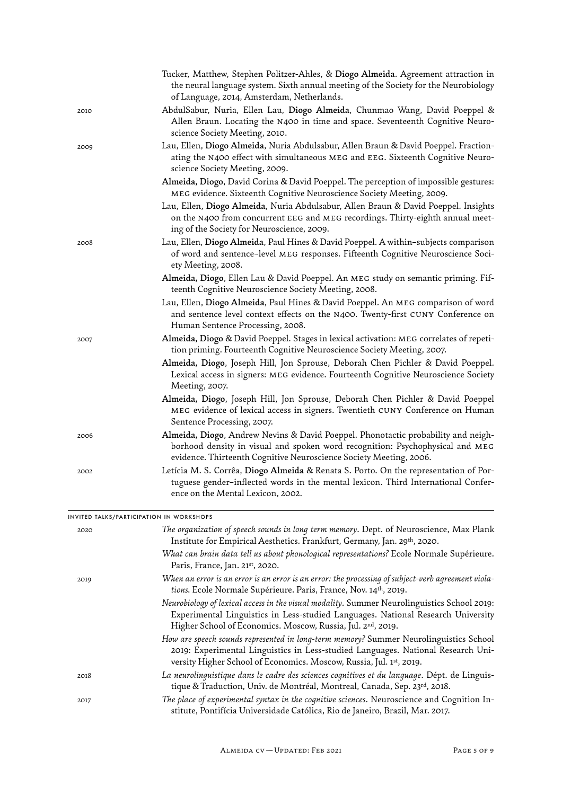|                                         | Tucker, Matthew, Stephen Politzer-Ahles, & Diogo Almeida. Agreement attraction in<br>the neural language system. Sixth annual meeting of the Society for the Neurobiology<br>of Language, 2014, Amsterdam, Netherlands.                          |
|-----------------------------------------|--------------------------------------------------------------------------------------------------------------------------------------------------------------------------------------------------------------------------------------------------|
| 2010                                    | AbdulSabur, Nuria, Ellen Lau, Diogo Almeida, Chunmao Wang, David Poeppel &<br>Allen Braun. Locating the N400 in time and space. Seventeenth Cognitive Neuro-<br>science Society Meeting, 2010.                                                   |
| 2009                                    | Lau, Ellen, Diogo Almeida, Nuria Abdulsabur, Allen Braun & David Poeppel. Fraction-<br>ating the N400 effect with simultaneous MEG and EEG. Sixteenth Cognitive Neuro-<br>science Society Meeting, 2009.                                         |
|                                         | Almeida, Diogo, David Corina & David Poeppel. The perception of impossible gestures:<br>MEG evidence. Sixteenth Cognitive Neuroscience Society Meeting, 2009.                                                                                    |
|                                         | Lau, Ellen, Diogo Almeida, Nuria Abdulsabur, Allen Braun & David Poeppel. Insights<br>on the N400 from concurrent EEG and MEG recordings. Thirty-eighth annual meet-<br>ing of the Society for Neuroscience, 2009.                               |
| 2008                                    | Lau, Ellen, Diogo Almeida, Paul Hines & David Poeppel. A within-subjects comparison<br>of word and sentence-level MEG responses. Fifteenth Cognitive Neuroscience Soci-<br>ety Meeting, 2008.                                                    |
|                                         | Almeida, Diogo, Ellen Lau & David Poeppel. An MEG study on semantic priming. Fif-<br>teenth Cognitive Neuroscience Society Meeting, 2008.                                                                                                        |
|                                         | Lau, Ellen, Diogo Almeida, Paul Hines & David Poeppel. An MEG comparison of word<br>and sentence level context effects on the N400. Twenty-first CUNY Conference on<br>Human Sentence Processing, 2008.                                          |
| 2007                                    | Almeida, Diogo & David Poeppel. Stages in lexical activation: MEG correlates of repeti-<br>tion priming. Fourteenth Cognitive Neuroscience Society Meeting, 2007.                                                                                |
|                                         | Almeida, Diogo, Joseph Hill, Jon Sprouse, Deborah Chen Pichler & David Poeppel.<br>Lexical access in signers: MEG evidence. Fourteenth Cognitive Neuroscience Society<br>Meeting, 2007.                                                          |
|                                         | Almeida, Diogo, Joseph Hill, Jon Sprouse, Deborah Chen Pichler & David Poeppel<br>MEG evidence of lexical access in signers. Twentieth CUNY Conference on Human<br>Sentence Processing, 2007.                                                    |
| 2006                                    | Almeida, Diogo, Andrew Nevins & David Poeppel. Phonotactic probability and neigh-<br>borhood density in visual and spoken word recognition: Psychophysical and MEG<br>evidence. Thirteenth Cognitive Neuroscience Society Meeting, 2006.         |
| 2002                                    | Letícia M. S. Corrêa, Diogo Almeida & Renata S. Porto. On the representation of Por-<br>tuguese gender-inflected words in the mental lexicon. Third International Confer-<br>ence on the Mental Lexicon, 2002.                                   |
| NVITED TALKS/PARTICIPATION IN WORKSHOPS |                                                                                                                                                                                                                                                  |
| 2020                                    | The organization of speech sounds in long term memory. Dept. of Neuroscience, Max Plank<br>Institute for Empirical Aesthetics. Frankfurt, Germany, Jan. 29th, 2020.                                                                              |
|                                         | What can brain data tell us about phonological representations? Ecole Normale Supérieure.<br>Paris, France, Jan. 21st, 2020.                                                                                                                     |
| 2019                                    | When an error is an error is an error is an error: the processing of subject-verb agreement viola-<br>tions. Ecole Normale Supérieure. Paris, France, Nov. 14th, 2019.                                                                           |
|                                         | Neurobiology of lexical access in the visual modality. Summer Neurolinguistics School 2019:<br>Experimental Linguistics in Less-studied Languages. National Research University<br>Higher School of Economics. Moscow, Russia, Jul. 2nd, 2019.   |
|                                         | How are speech sounds represented in long-term memory? Summer Neurolinguistics School<br>2019: Experimental Linguistics in Less-studied Languages. National Research Uni-<br>versity Higher School of Economics. Moscow, Russia, Jul. 1st, 2019. |
| 2018                                    | La neurolinguistique dans le cadre des sciences cognitives et du language. Dépt. de Linguis-<br>tique & Traduction, Univ. de Montréal, Montreal, Canada, Sep. 23rd, 2018.                                                                        |
| 2017                                    | The place of experimental syntax in the cognitive sciences. Neuroscience and Cognition In-<br>stitute, Pontifícia Universidade Católica, Rio de Janeiro, Brazil, Mar. 2017.                                                                      |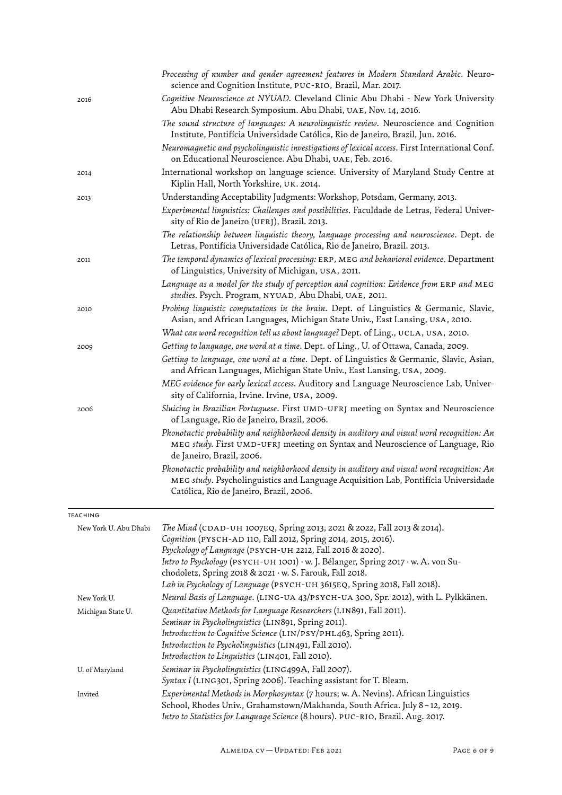|                       | Processing of number and gender agreement features in Modern Standard Arabic. Neuro-<br>science and Cognition Institute, PUC-RIO, Brazil, Mar. 2017.                                                                          |
|-----------------------|-------------------------------------------------------------------------------------------------------------------------------------------------------------------------------------------------------------------------------|
| 2016                  | Cognitive Neuroscience at NYUAD. Cleveland Clinic Abu Dhabi - New York University<br>Abu Dhabi Research Symposium. Abu Dhabi, UAE, Nov. 14, 2016.                                                                             |
|                       | The sound structure of languages: A neurolinguistic review. Neuroscience and Cognition<br>Institute, Pontifícia Universidade Católica, Rio de Janeiro, Brazil, Jun. 2016.                                                     |
|                       | Neuromagnetic and psycholinguistic investigations of lexical access. First International Conf.<br>on Educational Neuroscience. Abu Dhabi, UAE, Feb. 2016.                                                                     |
| 2014                  | International workshop on language science. University of Maryland Study Centre at<br>Kiplin Hall, North Yorkshire, UK. 2014.                                                                                                 |
| 2013                  | Understanding Acceptability Judgments: Workshop, Potsdam, Germany, 2013.                                                                                                                                                      |
|                       | Experimental linquistics: Challenges and possibilities. Faculdade de Letras, Federal Univer-<br>sity of Rio de Janeiro (UFRJ), Brazil. 2013.                                                                                  |
|                       | The relationship between linquistic theory, lanquaqe processinq and neuroscience. Dept. de<br>Letras, Pontifícia Universidade Católica, Rio de Janeiro, Brazil. 2013.                                                         |
| 2011                  | The temporal dynamics of lexical processing: ERP, MEG and behavioral evidence. Department<br>of Linguistics, University of Michigan, USA, 2011.                                                                               |
|                       | Language as a model for the study of perception and cognition: Evidence from ERP and MEG<br>studies. Psych. Program, NYUAD, Abu Dhabi, UAE, 2011.                                                                             |
| 2010                  | Probing linguistic computations in the brain. Dept. of Linguistics & Germanic, Slavic,<br>Asian, and African Languages, Michigan State Univ., East Lansing, USA, 2010.                                                        |
|                       | What can word recognition tell us about language? Dept. of Ling., UCLA, USA, 2010.                                                                                                                                            |
| 2009                  | Getting to language, one word at a time. Dept. of Ling., U. of Ottawa, Canada, 2009.                                                                                                                                          |
|                       | Getting to language, one word at a time. Dept. of Linguistics & Germanic, Slavic, Asian,<br>and African Languages, Michigan State Univ., East Lansing, USA, 2009.                                                             |
|                       | MEG evidence for early lexical access. Auditory and Language Neuroscience Lab, Univer-<br>sity of California, Irvine. Irvine, USA, 2009.                                                                                      |
| 2006                  | Sluicing in Brazilian Portuguese. First UMD-UFRJ meeting on Syntax and Neuroscience<br>of Language, Rio de Janeiro, Brazil, 2006.                                                                                             |
|                       | Phonotactic probability and neighborhood density in auditory and visual word recognition: An<br>MEG study. First UMD-UFRJ meeting on Syntax and Neuroscience of Language, Rio<br>de Janeiro, Brazil, 2006.                    |
|                       | Phonotactic probability and neighborhood density in auditory and visual word recognition: An<br>MEG study. Psycholinguistics and Language Acquisition Lab, Pontifícia Universidade<br>Católica, Rio de Janeiro, Brazil, 2006. |
| <b>TEACHING</b>       |                                                                                                                                                                                                                               |
| New York U. Abu Dhabi | The Mind (CDAD-UH 1007EQ, Spring 2013, 2021 & 2022, Fall 2013 & 2014).                                                                                                                                                        |
|                       | Coqnition (PYSCH-AD 110, Fall 2012, Spring 2014, 2015, 2016).<br>Psychology of Language (PSYCH-UH 2212, Fall 2016 & 2020).                                                                                                    |
|                       | Intro to Psychology (PSYCH-UH 1001) · w. J. Bélanger, Spring 2017 · w. A. von Su-                                                                                                                                             |
|                       | chodoletz, Spring 2018 & 2021 · w. S. Farouk, Fall 2018.                                                                                                                                                                      |
|                       | Lab in Psychology of Language (PSYCH-UH 3615EQ, Spring 2018, Fall 2018).                                                                                                                                                      |
| New York U.           | Neural Basis of Lanquaqe. (LING-UA 43/PSYCH-UA 300, Spr. 2012), with L. Pylkkänen.                                                                                                                                            |
| Michigan State U.     | Quantitative Methods for Language Researchers (LIN891, Fall 2011).                                                                                                                                                            |
|                       | Seminar in Psycholinquistics (LIN891, Spring 2011).                                                                                                                                                                           |
|                       | Introduction to Cognitive Science (LIN/PSY/PHL463, Spring 2011).                                                                                                                                                              |
|                       | Introduction to Psycholinquistics (LIN491, Fall 2010).<br>Introduction to Linguistics (LIN401, Fall 2010).                                                                                                                    |
| U. of Maryland        | Seminar in Psycholinquistics (LING499A, Fall 2007).                                                                                                                                                                           |
|                       | Syntax I (LING301, Spring 2006). Teaching assistant for T. Bleam.                                                                                                                                                             |
| Invited               | Experimental Methods in Morphosyntax (7 hours; w. A. Nevins). African Linguistics<br>School, Rhodes Univ., Grahamstown/Makhanda, South Africa. July 8-12, 2019.                                                               |

*Intro to Statistics for Language Science* (8 hours). puc-rio, Brazil. Aug. 2017.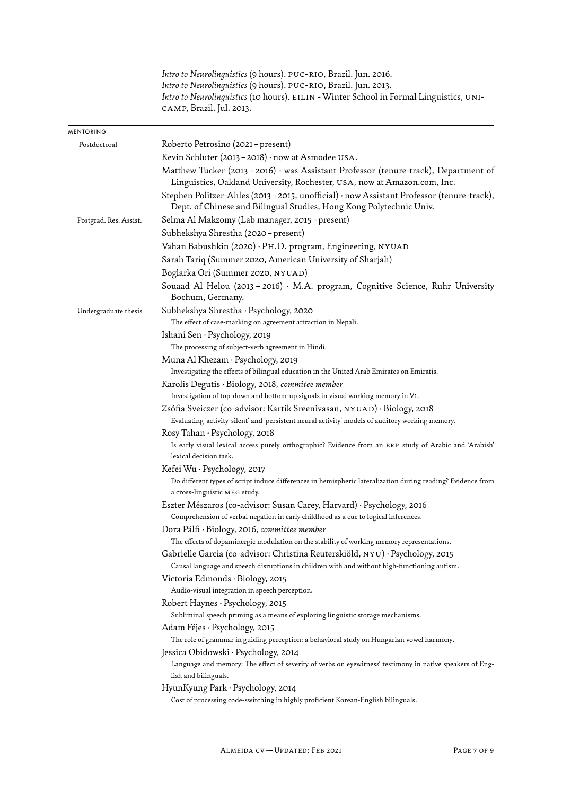|                        | Intro to Neurolinquistics (9 hours). PUC-RIO, Brazil. Jun. 2016.<br>Intro to Neurolinquistics (9 hours). PUC-RIO, Brazil. Jun. 2013.<br>Intro to Neurolinguistics (10 hours). EILIN - Winter School in Formal Linguistics, UNI-<br>CAMP, Brazil. Jul. 2013. |
|------------------------|-------------------------------------------------------------------------------------------------------------------------------------------------------------------------------------------------------------------------------------------------------------|
| <b>MENTORING</b>       |                                                                                                                                                                                                                                                             |
| Postdoctoral           | Roberto Petrosino (2021 – present)                                                                                                                                                                                                                          |
|                        | Kevin Schluter (2013 - 2018) $\cdot$ now at Asmodee USA.                                                                                                                                                                                                    |
|                        | Matthew Tucker (2013 - 2016) · was Assistant Professor (tenure-track), Department of<br>Linguistics, Oakland University, Rochester, USA, now at Amazon.com, Inc.                                                                                            |
|                        | Stephen Politzer-Ahles (2013 - 2015, unofficial) · now Assistant Professor (tenure-track),<br>Dept. of Chinese and Bilingual Studies, Hong Kong Polytechnic Univ.                                                                                           |
| Postgrad. Res. Assist. | Selma Al Makzomy (Lab manager, 2015 – present)                                                                                                                                                                                                              |
|                        | Subhekshya Shrestha (2020 - present)                                                                                                                                                                                                                        |
|                        | Vahan Babushkin (2020) · PH.D. program, Engineering, NYUAD                                                                                                                                                                                                  |
|                        | Sarah Tariq (Summer 2020, American University of Sharjah)                                                                                                                                                                                                   |
|                        | Boglarka Ori (Summer 2020, NYUAD)                                                                                                                                                                                                                           |
|                        | Souaad Al Helou (2013 - 2016) · M.A. program, Cognitive Science, Ruhr University<br>Bochum, Germany.                                                                                                                                                        |
| Undergraduate thesis   | Subhekshya Shrestha · Psychology, 2020                                                                                                                                                                                                                      |
|                        | The effect of case-marking on agreement attraction in Nepali.                                                                                                                                                                                               |
|                        | Ishani Sen · Psychology, 2019                                                                                                                                                                                                                               |
|                        | The processing of subject-verb agreement in Hindi.                                                                                                                                                                                                          |
|                        | Muna Al Khezam · Psychology, 2019                                                                                                                                                                                                                           |
|                        | Investigating the effects of bilingual education in the United Arab Emirates on Emiratis.                                                                                                                                                                   |
|                        | Karolis Degutis · Biology, 2018, commitee member                                                                                                                                                                                                            |
|                        | Investigation of top-down and bottom-up signals in visual working memory in V1.                                                                                                                                                                             |
|                        | Zsófia Sveiczer (co-advisor: Kartik Sreenivasan, NYUAD) · Biology, 2018                                                                                                                                                                                     |
|                        | Evaluating 'activity-silent' and 'persistent neural activity' models of auditory working memory.                                                                                                                                                            |
|                        | Rosy Tahan · Psychology, 2018<br>Is early visual lexical access purely orthographic? Evidence from an ERP study of Arabic and 'Arabish'<br>lexical decision task.                                                                                           |
|                        | Kefei Wu · Psychology, 2017                                                                                                                                                                                                                                 |
|                        | Do different types of script induce differences in hemispheric lateralization during reading? Evidence from<br>a cross-linguistic MEG study.                                                                                                                |
|                        | Eszter Mészaros (co-advisor: Susan Carey, Harvard) · Psychology, 2016                                                                                                                                                                                       |
|                        | Comprehension of verbal negation in early childhood as a cue to logical inferences.                                                                                                                                                                         |
|                        | Dora Pálfi · Biology, 2016, committee member                                                                                                                                                                                                                |
|                        | The effects of dopaminergic modulation on the stability of working memory representations.                                                                                                                                                                  |
|                        | Gabrielle Garcia (co-advisor: Christina Reuterskiöld, NYU) · Psychology, 2015                                                                                                                                                                               |
|                        | Causal language and speech disruptions in children with and without high-functioning autism.                                                                                                                                                                |
|                        | Victoria Edmonds · Biology, 2015                                                                                                                                                                                                                            |
|                        | Audio-visual integration in speech perception.                                                                                                                                                                                                              |
|                        | Robert Haynes · Psychology, 2015                                                                                                                                                                                                                            |
|                        | Subliminal speech priming as a means of exploring linguistic storage mechanisms.                                                                                                                                                                            |
|                        | Adam Féjes · Psychology, 2015<br>The role of grammar in guiding perception: a behavioral study on Hungarian vowel harmony.                                                                                                                                  |
|                        | Jessica Obidowski · Psychology, 2014                                                                                                                                                                                                                        |
|                        | Language and memory: The effect of severity of verbs on eyewitness' testimony in native speakers of Eng-<br>lish and bilinguals.                                                                                                                            |
|                        | HyunKyung Park · Psychology, 2014                                                                                                                                                                                                                           |
|                        | Cost of processing code-switching in highly proficient Korean-English bilinguals.                                                                                                                                                                           |
|                        |                                                                                                                                                                                                                                                             |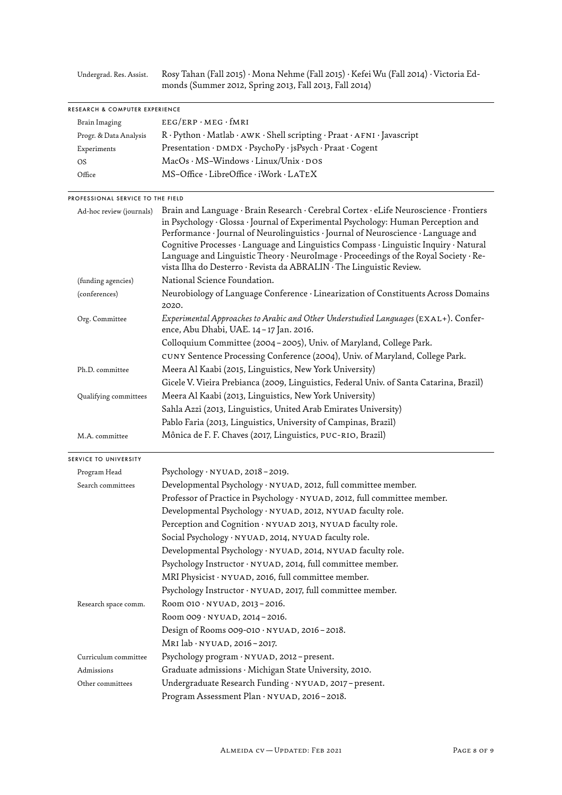Undergrad. Res. Assist. Rosy Tahan (Fall 2015) · Mona Nehme (Fall 2015) · Kefei Wu (Fall 2014) · Victoria Edmonds (Summer 2012, Spring 2013, Fall 2013, Fall 2014)

| RESEARCH & COMPUTER EXPERIENCE    |                                                                                                                                                                                                                                                                                                                                                                                                                                                                                                                            |
|-----------------------------------|----------------------------------------------------------------------------------------------------------------------------------------------------------------------------------------------------------------------------------------------------------------------------------------------------------------------------------------------------------------------------------------------------------------------------------------------------------------------------------------------------------------------------|
| Brain Imaging                     | $EEG/ERP \cdot MEG \cdot fMRI$                                                                                                                                                                                                                                                                                                                                                                                                                                                                                             |
| Progr. & Data Analysis            | R · Python · Matlab · AWK · Shell scripting · Praat · AFNI · Javascript                                                                                                                                                                                                                                                                                                                                                                                                                                                    |
| Experiments                       | Presentation · DMDX · PsychoPy · jsPsych · Praat · Cogent                                                                                                                                                                                                                                                                                                                                                                                                                                                                  |
| <b>OS</b>                         | MacOs · MS-Windows · Linux/Unix · DOS                                                                                                                                                                                                                                                                                                                                                                                                                                                                                      |
| Office                            | MS-Office · LibreOffice · iWork · LATEX                                                                                                                                                                                                                                                                                                                                                                                                                                                                                    |
| PROFESSIONAL SERVICE TO THE FIELD |                                                                                                                                                                                                                                                                                                                                                                                                                                                                                                                            |
| Ad-hoc review (journals)          | Brain and Language · Brain Research · Cerebral Cortex · eLife Neuroscience · Frontiers<br>in Psychology · Glossa · Journal of Experimental Psychology: Human Perception and<br>Performance · Journal of Neurolinguistics · Journal of Neuroscience · Language and<br>Cognitive Processes · Language and Linguistics Compass · Linguistic Inquiry · Natural<br>Language and Linguistic Theory · NeuroImage · Proceedings of the Royal Society · Re-<br>vista Ilha do Desterro · Revista da ABRALIN · The Linguistic Review. |
| (funding agencies)                | National Science Foundation.                                                                                                                                                                                                                                                                                                                                                                                                                                                                                               |
| (conferences)                     | Neurobiology of Language Conference · Linearization of Constituents Across Domains<br>2020.                                                                                                                                                                                                                                                                                                                                                                                                                                |
| Org. Committee                    | Experimental Approaches to Arabic and Other Understudied Languages (EXAL+). Confer-<br>ence, Abu Dhabi, UAE. 14 - 17 Jan. 2016.                                                                                                                                                                                                                                                                                                                                                                                            |
|                                   | Colloquium Committee (2004 - 2005), Univ. of Maryland, College Park.                                                                                                                                                                                                                                                                                                                                                                                                                                                       |
|                                   | CUNY Sentence Processing Conference (2004), Univ. of Maryland, College Park.                                                                                                                                                                                                                                                                                                                                                                                                                                               |
| Ph.D. committee                   | Meera Al Kaabi (2015, Linguistics, New York University)                                                                                                                                                                                                                                                                                                                                                                                                                                                                    |
|                                   | Gicele V. Vieira Prebianca (2009, Linguistics, Federal Univ. of Santa Catarina, Brazil)                                                                                                                                                                                                                                                                                                                                                                                                                                    |
| Qualifying committees             | Meera Al Kaabi (2013, Linguistics, New York University)                                                                                                                                                                                                                                                                                                                                                                                                                                                                    |
|                                   | Sahla Azzi (2013, Linguistics, United Arab Emirates University)                                                                                                                                                                                                                                                                                                                                                                                                                                                            |
|                                   | Pablo Faria (2013, Linguistics, University of Campinas, Brazil)                                                                                                                                                                                                                                                                                                                                                                                                                                                            |
| M.A. committee                    | Mônica de F. F. Chaves (2017, Linguistics, PUC-RIO, Brazil)                                                                                                                                                                                                                                                                                                                                                                                                                                                                |
| SERVICE TO UNIVERSITY             |                                                                                                                                                                                                                                                                                                                                                                                                                                                                                                                            |
| Program Head                      | Psychology $\cdot$ NYUAD, 2018 - 2019.                                                                                                                                                                                                                                                                                                                                                                                                                                                                                     |
| Search committees                 | Developmental Psychology · NYUAD, 2012, full committee member.                                                                                                                                                                                                                                                                                                                                                                                                                                                             |
|                                   | Professor of Practice in Psychology · NYUAD, 2012, full committee member.                                                                                                                                                                                                                                                                                                                                                                                                                                                  |
|                                   | Developmental Psychology · NYUAD, 2012, NYUAD faculty role.                                                                                                                                                                                                                                                                                                                                                                                                                                                                |
|                                   | Perception and Cognition · NYUAD 2013, NYUAD faculty role.                                                                                                                                                                                                                                                                                                                                                                                                                                                                 |
|                                   | Social Psychology · NYUAD, 2014, NYUAD faculty role.                                                                                                                                                                                                                                                                                                                                                                                                                                                                       |
|                                   | Developmental Psychology · NYUAD, 2014, NYUAD faculty role.                                                                                                                                                                                                                                                                                                                                                                                                                                                                |
|                                   | Psychology Instructor · NYUAD, 2014, full committee member.                                                                                                                                                                                                                                                                                                                                                                                                                                                                |
|                                   | MRI Physicist · NYUAD, 2016, full committee member.                                                                                                                                                                                                                                                                                                                                                                                                                                                                        |
|                                   | Psychology Instructor · NYUAD, 2017, full committee member.                                                                                                                                                                                                                                                                                                                                                                                                                                                                |
| Research space comm.              | Room 010 · NYUAD, 2013-2016.                                                                                                                                                                                                                                                                                                                                                                                                                                                                                               |
|                                   | Room 009 · NYUAD, 2014 - 2016.                                                                                                                                                                                                                                                                                                                                                                                                                                                                                             |
|                                   | Design of Rooms 009-010 · NYUAD, 2016-2018.                                                                                                                                                                                                                                                                                                                                                                                                                                                                                |
|                                   | MRI lab · NYUAD, 2016-2017.                                                                                                                                                                                                                                                                                                                                                                                                                                                                                                |
| Curriculum committee              | Psychology program · NYUAD, 2012-present.                                                                                                                                                                                                                                                                                                                                                                                                                                                                                  |
| Admissions                        | Graduate admissions · Michigan State University, 2010.                                                                                                                                                                                                                                                                                                                                                                                                                                                                     |
| Other committees                  | Undergraduate Research Funding · NYUAD, 2017 - present.                                                                                                                                                                                                                                                                                                                                                                                                                                                                    |
|                                   | Program Assessment Plan · NYUAD, 2016-2018.                                                                                                                                                                                                                                                                                                                                                                                                                                                                                |